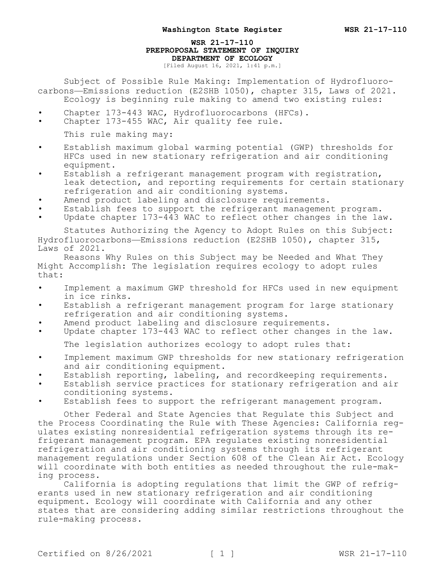## **WSR 21-17-110 PREPROPOSAL STATEMENT OF INQUIRY DEPARTMENT OF ECOLOGY**

[Filed August 16, 2021, 1:41 p.m.]

Subject of Possible Rule Making: Implementation of Hydrofluorocarbons—Emissions reduction (E2SHB 1050), chapter 315, Laws of 2021. Ecology is beginning rule making to amend two existing rules:

- Chapter 173-443 WAC, Hydrofluorocarbons (HFCs).
- Chapter 173-455 WAC, Air quality fee rule.
	- This rule making may:
- Establish maximum global warming potential (GWP) thresholds for HFCs used in new stationary refrigeration and air conditioning equipment.
- Establish a refrigerant management program with registration, leak detection, and reporting requirements for certain stationary refrigeration and air conditioning systems.
- Amend product labeling and disclosure requirements.
- Establish fees to support the refrigerant management program.
- Update chapter 173-443 WAC to reflect other changes in the law.

Statutes Authorizing the Agency to Adopt Rules on this Subject: Hydrofluorocarbons—Emissions reduction (E2SHB 1050), chapter 315, Laws of 2021.

Reasons Why Rules on this Subject may be Needed and What They Might Accomplish: The legislation requires ecology to adopt rules that:

- Implement a maximum GWP threshold for HFCs used in new equipment in ice rinks.
- Establish a refrigerant management program for large stationary refrigeration and air conditioning systems.
- Amend product labeling and disclosure requirements.
- Update chapter 173-443 WAC to reflect other changes in the law.

The legislation authorizes ecology to adopt rules that:

- Implement maximum GWP thresholds for new stationary refrigeration and air conditioning equipment.
- Establish reporting, labeling, and recordkeeping requirements.
- Establish service practices for stationary refrigeration and air conditioning systems.
- Establish fees to support the refrigerant management program.

Other Federal and State Agencies that Regulate this Subject and the Process Coordinating the Rule with These Agencies: California regulates existing nonresidential refrigeration systems through its refrigerant management program. EPA regulates existing nonresidential refrigeration and air conditioning systems through its refrigerant management regulations under Section 608 of the Clean Air Act. Ecology will coordinate with both entities as needed throughout the rule-making process.

California is adopting regulations that limit the GWP of refrigerants used in new stationary refrigeration and air conditioning equipment. Ecology will coordinate with California and any other states that are considering adding similar restrictions throughout the rule-making process.